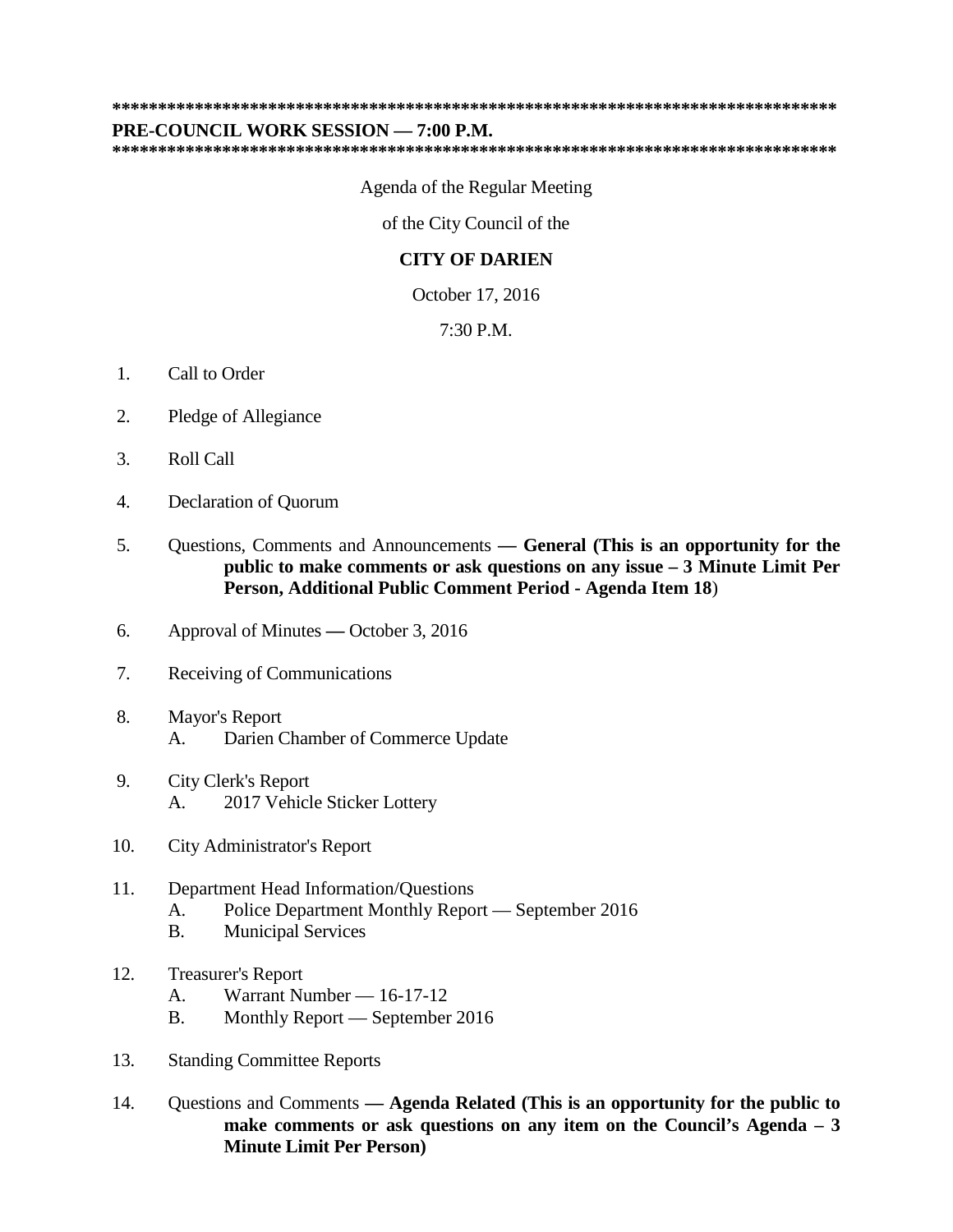## **\*\*\*\*\*\*\*\*\*\*\*\*\*\*\*\*\*\*\*\*\*\*\*\*\*\*\*\*\*\*\*\*\*\*\*\*\*\*\*\*\*\*\*\*\*\*\*\*\*\*\*\*\*\*\*\*\*\*\*\*\*\*\*\*\*\*\*\*\*\*\*\*\*\*\*\*\*\*\***

## **PRE-COUNCIL WORK SESSION — 7:00 P.M.**

**\*\*\*\*\*\*\*\*\*\*\*\*\*\*\*\*\*\*\*\*\*\*\*\*\*\*\*\*\*\*\*\*\*\*\*\*\*\*\*\*\*\*\*\*\*\*\*\*\*\*\*\*\*\*\*\*\*\*\*\*\*\*\*\*\*\*\*\*\*\*\*\*\*\*\*\*\*\*\***

Agenda of the Regular Meeting

of the City Council of the

## **CITY OF DARIEN**

October 17, 2016

7:30 P.M.

- 1. Call to Order
- 2. Pledge of Allegiance
- 3. Roll Call
- 4. Declaration of Quorum
- 5. Questions, Comments and Announcements **— General (This is an opportunity for the public to make comments or ask questions on any issue – 3 Minute Limit Per Person, Additional Public Comment Period - Agenda Item 18**)
- 6. Approval of Minutes **—** October 3, 2016
- 7. Receiving of Communications
- 8. Mayor's Report A. Darien Chamber of Commerce Update
- 9. City Clerk's Report A. 2017 Vehicle Sticker Lottery
- 10. City Administrator's Report
- 11. Department Head Information/Questions A. Police Department Monthly Report — September 2016 B. Municipal Services
- 12. Treasurer's Report
	- A. Warrant Number 16-17-12
	- B. Monthly Report September 2016
- 13. Standing Committee Reports
- 14. Questions and Comments **— Agenda Related (This is an opportunity for the public to make comments or ask questions on any item on the Council's Agenda – 3 Minute Limit Per Person)**